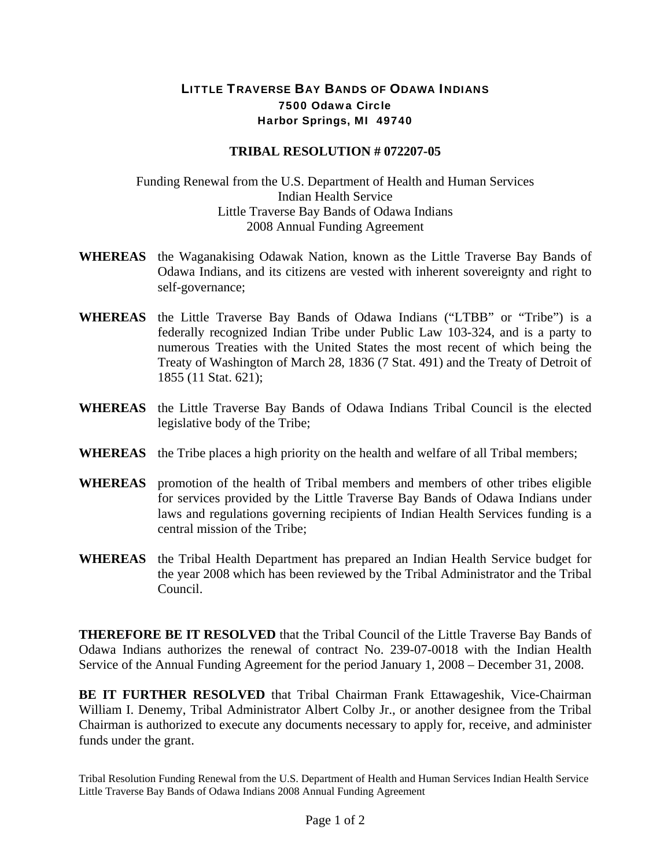## LITTLE TRAVERSE BAY BANDS OF ODAWA INDIANS 7500 Odawa Circle Harbor Springs, MI 49740

## **TRIBAL RESOLUTION # 072207-05**

## Funding Renewal from the U.S. Department of Health and Human Services Indian Health Service Little Traverse Bay Bands of Odawa Indians 2008 Annual Funding Agreement

- **WHEREAS** the Waganakising Odawak Nation, known as the Little Traverse Bay Bands of Odawa Indians, and its citizens are vested with inherent sovereignty and right to self-governance;
- **WHEREAS** the Little Traverse Bay Bands of Odawa Indians ("LTBB" or "Tribe") is a federally recognized Indian Tribe under Public Law 103-324, and is a party to numerous Treaties with the United States the most recent of which being the Treaty of Washington of March 28, 1836 (7 Stat. 491) and the Treaty of Detroit of 1855 (11 Stat. 621);
- **WHEREAS** the Little Traverse Bay Bands of Odawa Indians Tribal Council is the elected legislative body of the Tribe;
- **WHEREAS** the Tribe places a high priority on the health and welfare of all Tribal members;
- **WHEREAS** promotion of the health of Tribal members and members of other tribes eligible for services provided by the Little Traverse Bay Bands of Odawa Indians under laws and regulations governing recipients of Indian Health Services funding is a central mission of the Tribe;
- **WHEREAS** the Tribal Health Department has prepared an Indian Health Service budget for the year 2008 which has been reviewed by the Tribal Administrator and the Tribal Council.

**THEREFORE BE IT RESOLVED** that the Tribal Council of the Little Traverse Bay Bands of Odawa Indians authorizes the renewal of contract No. 239-07-0018 with the Indian Health Service of the Annual Funding Agreement for the period January 1, 2008 – December 31, 2008.

**BE IT FURTHER RESOLVED** that Tribal Chairman Frank Ettawageshik, Vice-Chairman William I. Denemy, Tribal Administrator Albert Colby Jr., or another designee from the Tribal Chairman is authorized to execute any documents necessary to apply for, receive, and administer funds under the grant.

Tribal Resolution Funding Renewal from the U.S. Department of Health and Human Services Indian Health Service Little Traverse Bay Bands of Odawa Indians 2008 Annual Funding Agreement